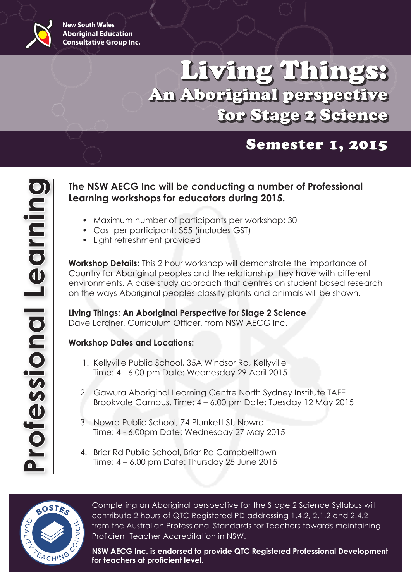

# Living Things: An Aboriginal perspective for Stage 2 Science

## Semester 1, 2015

### **The NSW AECG Inc will be conducting a number of Professional Learning workshops for educators during 2015.**

- Maximum number of participants per workshop: 30
- Cost per participant: \$55 (includes GST)
- • Light refreshment provided

**Workshop Details:** This 2 hour workshop will demonstrate the importance of Country for Aboriginal peoples and the relationship they have with different environments. A case study approach that centres on student based research on the ways Aboriginal peoples classify plants and animals will be shown.

**Living Things: An Aboriginal Perspective for Stage 2 Science** Dave Lardner, Curriculum Officer, from NSW AECG Inc.

#### **Workshop Dates and Locations:**

- 1. Kellyville Public School, 35A Windsor Rd, Kellyville Time: 4 - 6.00 pm Date: Wednesday 29 April 2015
- 2. Gawura Aboriginal Learning Centre North Sydney Institute TAFE Brookvale Campus. Time: 4 – 6.00 pm Date: Tuesday 12 May 2015
- 3. Nowra Public School, 74 Plunkett St, Nowra Time: 4 - 6.00pm Date: Wednesday 27 May 2015
- 4. Briar Rd Public School, Briar Rd Campbelltown Time: 4 – 6.00 pm Date: Thursday 25 June 2015



Completing an Aboriginal perspective for the Stage 2 Science Syllabus will contribute 2 hours of QTC Registered PD addressing 1.4.2, 2.1.2 and 2.4.2 from the Australian Professional Standards for Teachers towards maintaining Proficient Teacher Accreditation in NSW.

**NSW AECG Inc. is endorsed to provide QTC Registered Professional Development for teachers at proficient level.**